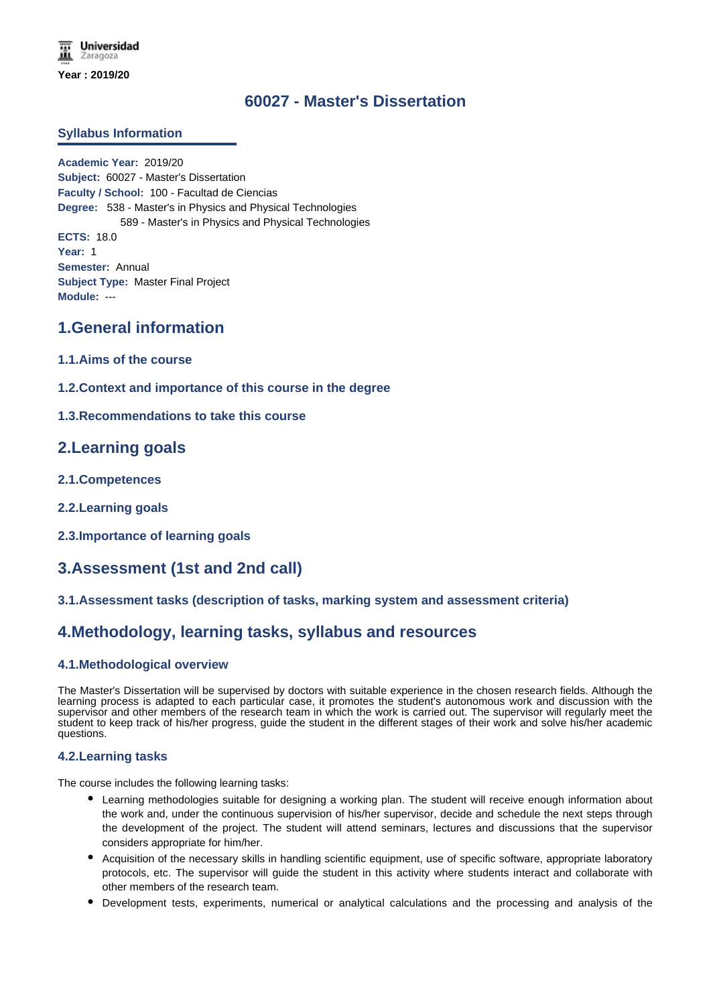# **60027 - Master's Dissertation**

#### **Syllabus Information**

**Academic Year:** 2019/20 **Subject:** 60027 - Master's Dissertation **Faculty / School:** 100 - Facultad de Ciencias **Degree:** 538 - Master's in Physics and Physical Technologies 589 - Master's in Physics and Physical Technologies **ECTS:** 18.0 **Year:** 1 **Semester:** Annual **Subject Type:** Master Final Project **Module:** ---

### **1.General information**

- **1.1.Aims of the course**
- **1.2.Context and importance of this course in the degree**

#### **1.3.Recommendations to take this course**

### **2.Learning goals**

- **2.1.Competences**
- **2.2.Learning goals**
- **2.3.Importance of learning goals**

## **3.Assessment (1st and 2nd call)**

### **3.1.Assessment tasks (description of tasks, marking system and assessment criteria)**

## **4.Methodology, learning tasks, syllabus and resources**

### **4.1.Methodological overview**

The Master's Dissertation will be supervised by doctors with suitable experience in the chosen research fields. Although the learning process is adapted to each particular case, it promotes the student's autonomous work and discussion with the supervisor and other members of the research team in which the work is carried out. The supervisor will regularly meet the student to keep track of his/her progress, guide the student in the different stages of their work and solve his/her academic questions.

#### **4.2.Learning tasks**

The course includes the following learning tasks:

- Learning methodologies suitable for designing a working plan. The student will receive enough information about the work and, under the continuous supervision of his/her supervisor, decide and schedule the next steps through the development of the project. The student will attend seminars, lectures and discussions that the supervisor considers appropriate for him/her.
- Acquisition of the necessary skills in handling scientific equipment, use of specific software, appropriate laboratory protocols, etc. The supervisor will guide the student in this activity where students interact and collaborate with other members of the research team.
- Development tests, experiments, numerical or analytical calculations and the processing and analysis of the